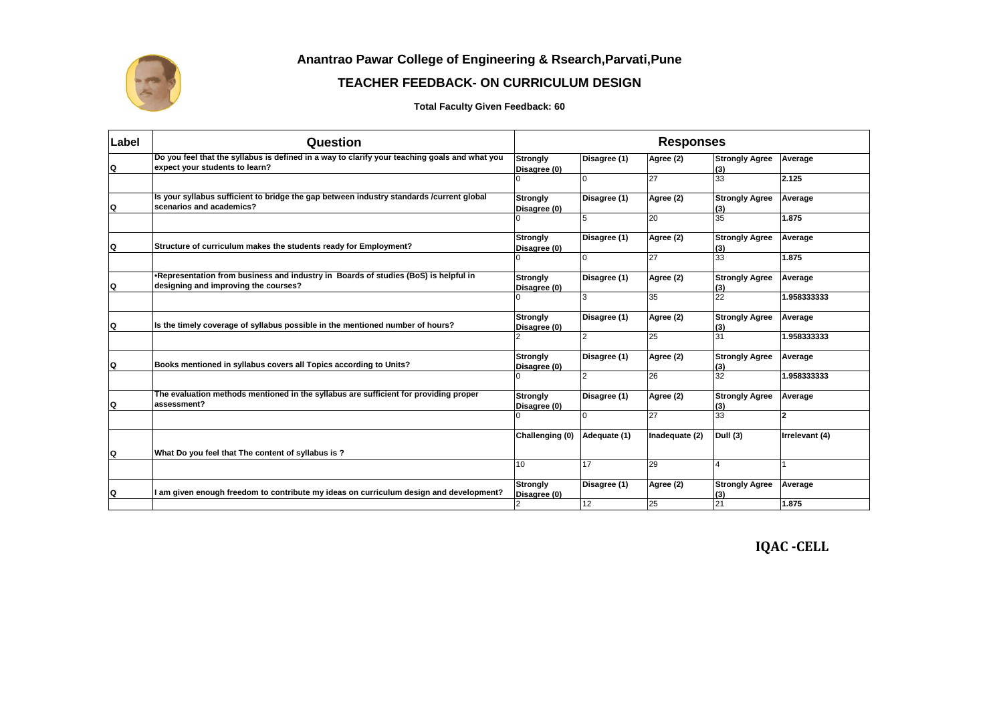

**Anantrao Pawar College of Engineering & Rsearch,Parvati,Pune**

## **TEACHER FEEDBACK- ON CURRICULUM DESIGN**

**Total Faculty Given Feedback: 60**

| Label | Question                                                                                                                        | <b>Responses</b>                |                 |                |                              |                |
|-------|---------------------------------------------------------------------------------------------------------------------------------|---------------------------------|-----------------|----------------|------------------------------|----------------|
| Q     | Do you feel that the syllabus is defined in a way to clarify your teaching goals and what you<br>expect your students to learn? | Strongly<br>Disagree (0)        | Disagree (1)    | Agree (2)      | <b>Strongly Agree</b><br>(3) | Average        |
|       |                                                                                                                                 |                                 | $\Omega$        | 27             | 33                           | 2.125          |
| Q     | Is your syllabus sufficient to bridge the gap between industry standards /current global<br>scenarios and academics?            | Strongly<br>Disagree (0)        | Disagree (1)    | Agree (2)      | <b>Strongly Agree</b><br>(3) | Average        |
|       |                                                                                                                                 |                                 | 5               | 20             | 35                           | 1.875          |
| Q     | Structure of curriculum makes the students ready for Employment?                                                                | <b>Strongly</b><br>Disagree (0) | Disagree (1)    | Agree (2)      | <b>Strongly Agree</b><br>(3) | Average        |
|       |                                                                                                                                 |                                 |                 | 27             | 33                           | 1.875          |
| Q     | •Representation from business and industry in Boards of studies (BoS) is helpful in<br>designing and improving the courses?     | <b>Strongly</b><br>Disagree (0) | Disagree (1)    | Agree (2)      | <b>Strongly Agree</b><br>(3) | Average        |
|       |                                                                                                                                 |                                 | 3               | 35             | 22                           | 1.958333333    |
| Q     | Is the timely coverage of syllabus possible in the mentioned number of hours?                                                   | Strongly<br>Disagree (0)        | Disagree (1)    | Agree (2)      | <b>Strongly Agree</b><br>(3) | Average        |
|       |                                                                                                                                 |                                 | 2               | 25             | 31                           | 1.958333333    |
| Q     | Books mentioned in syllabus covers all Topics according to Units?                                                               | Strongly<br>Disagree (0)        | Disagree (1)    | Agree (2)      | <b>Strongly Agree</b><br>(3) | Average        |
|       |                                                                                                                                 |                                 | 2               | 26             | 32                           | 1.958333333    |
| Q     | The evaluation methods mentioned in the syllabus are sufficient for providing proper<br>assessment?                             | <b>Strongly</b><br>Disagree (0) | Disagree (1)    | Agree (2)      | <b>Strongly Agree</b><br>(3) | Average        |
|       |                                                                                                                                 |                                 |                 | 27             | 33                           | $\overline{2}$ |
|       |                                                                                                                                 | Challenging (0)                 | Adequate (1)    | Inadequate (2) | Dull (3)                     | Irrelevant (4) |
| Q     | What Do you feel that The content of syllabus is?                                                                               |                                 |                 |                |                              |                |
|       |                                                                                                                                 | 10                              | 17              | 29             | $\overline{4}$               |                |
| Q     | I am given enough freedom to contribute my ideas on curriculum design and development?                                          | <b>Strongly</b><br>Disagree (0) | Disagree (1)    | Agree (2)      | <b>Strongly Agree</b><br>(3) | Average        |
|       |                                                                                                                                 | 2                               | 12 <sup>2</sup> | 25             | 21                           | 1.875          |

**IQAC -CELL**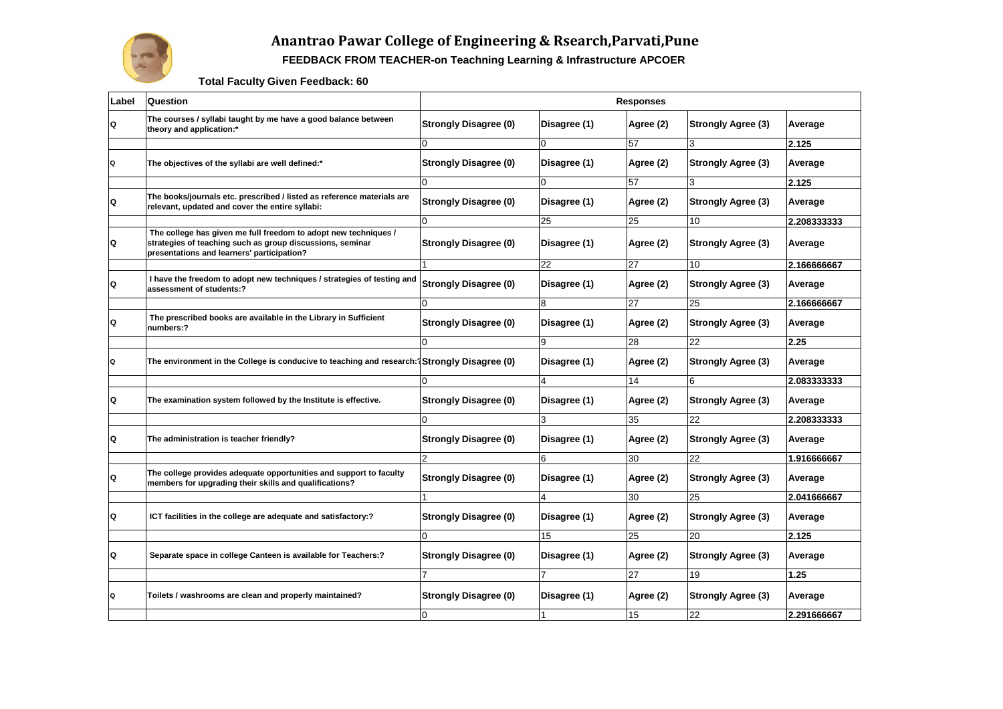

## **Anantrao Pawar College of Engineering & Rsearch,Parvati,Pune**

**FEEDBACK FROM TEACHER-on Teachning Learning & Infrastructure APCOER** 

**Total Faculty Given Feedback: 60**

| Label | Question                                                                                                                                                                   | Responses                    |                 |                 |                           |             |  |
|-------|----------------------------------------------------------------------------------------------------------------------------------------------------------------------------|------------------------------|-----------------|-----------------|---------------------------|-------------|--|
| Q     | The courses / syllabi taught by me have a good balance between<br>theory and application:*                                                                                 | <b>Strongly Disagree (0)</b> | Disagree (1)    | Agree (2)       | <b>Strongly Agree (3)</b> | Average     |  |
|       |                                                                                                                                                                            | U                            |                 | 57              | 3                         | 2.125       |  |
| Q     | The objectives of the syllabi are well defined:*                                                                                                                           | <b>Strongly Disagree (0)</b> | Disagree (1)    | Agree (2)       | <b>Strongly Agree (3)</b> | Average     |  |
|       |                                                                                                                                                                            | 0                            | $\Omega$        | 57              | 3                         | 2.125       |  |
| Q     | The books/journals etc. prescribed / listed as reference materials are<br>relevant, updated and cover the entire syllabi:                                                  | <b>Strongly Disagree (0)</b> | Disagree (1)    | Agree (2)       | <b>Strongly Agree (3)</b> | Average     |  |
|       |                                                                                                                                                                            | $\overline{0}$               | 25              | 25              | 10                        | 2.208333333 |  |
| Q     | The college has given me full freedom to adopt new techniques /<br>strategies of teaching such as group discussions, seminar<br>presentations and learners' participation? | <b>Strongly Disagree (0)</b> | Disagree (1)    | Agree (2)       | <b>Strongly Agree (3)</b> | Average     |  |
|       |                                                                                                                                                                            |                              | $\overline{22}$ | $\overline{27}$ | 10                        | 2.166666667 |  |
| Q     | I have the freedom to adopt new techniques / strategies of testing and<br>assessment of students:?                                                                         | <b>Strongly Disagree (0)</b> | Disagree (1)    | Agree (2)       | <b>Strongly Agree (3)</b> | Average     |  |
|       |                                                                                                                                                                            | 0                            | 8               | 27              | 25                        | 2.166666667 |  |
| Q     | The prescribed books are available in the Library in Sufficient<br>numbers:?                                                                                               | <b>Strongly Disagree (0)</b> | Disagree (1)    | Agree (2)       | <b>Strongly Agree (3)</b> | Average     |  |
|       |                                                                                                                                                                            | 0                            | 9               | 28              | 22                        | 2.25        |  |
| Q     | The environment in the College is conducive to teaching and research: Strongly Disagree (0)                                                                                |                              | Disagree (1)    | Agree (2)       | <b>Strongly Agree (3)</b> | Average     |  |
|       |                                                                                                                                                                            | O                            | 4               | 14              | 6                         | 2.083333333 |  |
| Q     | The examination system followed by the Institute is effective.                                                                                                             | <b>Strongly Disagree (0)</b> | Disagree (1)    | Agree (2)       | <b>Strongly Agree (3)</b> | Average     |  |
|       |                                                                                                                                                                            | $\Omega$                     | 3               | 35              | 22                        | 2.208333333 |  |
| Q     | The administration is teacher friendly?                                                                                                                                    | <b>Strongly Disagree (0)</b> | Disagree (1)    | Agree (2)       | <b>Strongly Agree (3)</b> | Average     |  |
|       |                                                                                                                                                                            | $\overline{2}$               | 6               | 30              | 22                        | 1.916666667 |  |
| Q     | The college provides adequate opportunities and support to faculty<br>members for upgrading their skills and qualifications?                                               | <b>Strongly Disagree (0)</b> | Disagree (1)    | Agree (2)       | <b>Strongly Agree (3)</b> | Average     |  |
|       |                                                                                                                                                                            |                              | 4               | 30              | 25                        | 2.041666667 |  |
| Q     | ICT facilities in the college are adequate and satisfactory:?                                                                                                              | <b>Strongly Disagree (0)</b> | Disagree (1)    | Agree (2)       | <b>Strongly Agree (3)</b> | Average     |  |
|       |                                                                                                                                                                            | 0                            | 15              | 25              | 20                        | 2.125       |  |
| Q     | Separate space in college Canteen is available for Teachers:?                                                                                                              | <b>Strongly Disagree (0)</b> | Disagree (1)    | Agree (2)       | <b>Strongly Agree (3)</b> | Average     |  |
|       |                                                                                                                                                                            | 7                            |                 | 27              | 19                        | 1.25        |  |
| Q     | Toilets / washrooms are clean and properly maintained?                                                                                                                     | <b>Strongly Disagree (0)</b> | Disagree (1)    | Agree (2)       | <b>Strongly Agree (3)</b> | Average     |  |
|       |                                                                                                                                                                            | 0                            |                 | 15              | 22                        | 2.291666667 |  |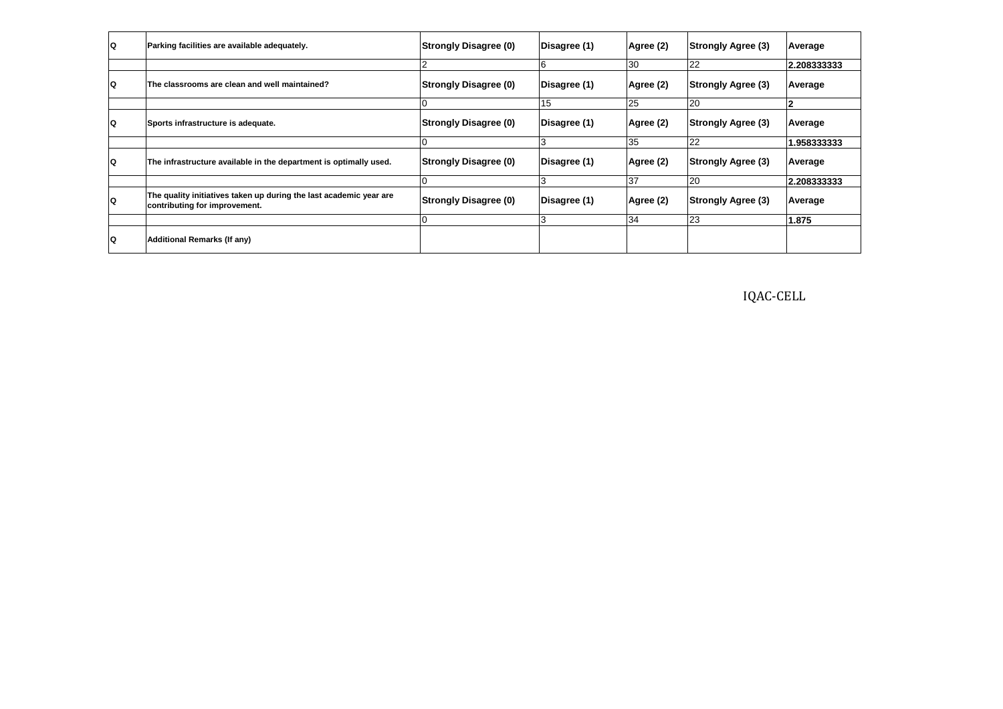| Q  | Parking facilities are available adequately.                                                        | <b>Strongly Disagree (0)</b> | Disagree (1) | Agree (2) | <b>Strongly Agree (3)</b> | Average     |
|----|-----------------------------------------------------------------------------------------------------|------------------------------|--------------|-----------|---------------------------|-------------|
|    |                                                                                                     |                              | 6            | 30        | 22                        | 2.208333333 |
| IQ | The classrooms are clean and well maintained?                                                       | <b>Strongly Disagree (0)</b> | Disagree (1) | Agree (2) | <b>Strongly Agree (3)</b> | Average     |
|    |                                                                                                     |                              | 15           | 25        | 20                        | 2           |
| IQ | Sports infrastructure is adequate.                                                                  | <b>Strongly Disagree (0)</b> | Disagree (1) | Agree (2) | <b>Strongly Agree (3)</b> | Average     |
|    |                                                                                                     |                              |              | 35        | 22                        | 1.958333333 |
| IQ | The infrastructure available in the department is optimally used.                                   | <b>Strongly Disagree (0)</b> | Disagree (1) | Agree (2) | <b>Strongly Agree (3)</b> | Average     |
|    |                                                                                                     |                              | lЗ           | 37        | 20                        | 2.208333333 |
| IQ | The quality initiatives taken up during the last academic year are<br>contributing for improvement. | <b>Strongly Disagree (0)</b> | Disagree (1) | Agree (2) | <b>Strongly Agree (3)</b> | Average     |
|    |                                                                                                     |                              |              | 34        | 23                        | 1.875       |
| ۱Q | Additional Remarks (If any)                                                                         |                              |              |           |                           |             |

IQAC-CELL